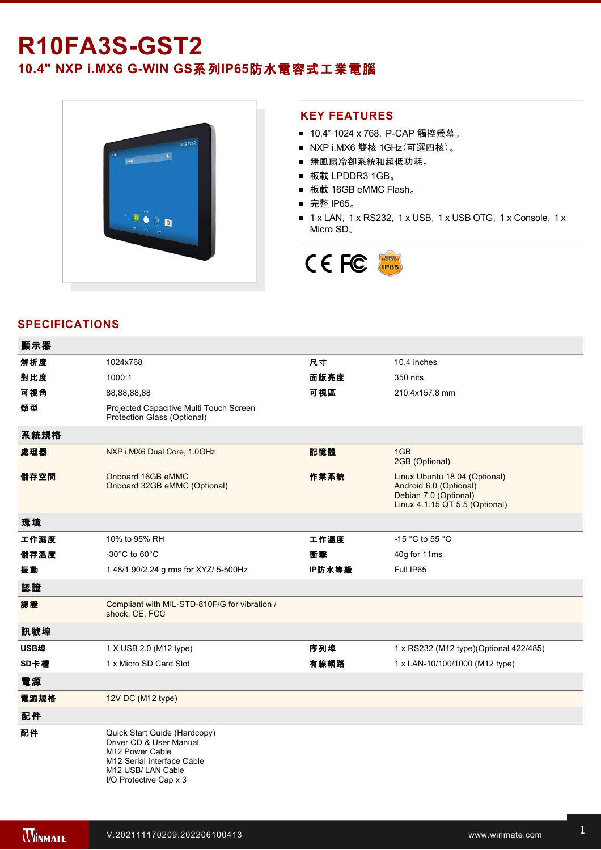## **R10FA3S-GST2**

**10.4" NXP i.MX6 G-WIN GS系列IP65防水電容式工業電腦** 



## **KEY FEATURES**

- 10.4" 1024 x 768, P-CAP 觸控螢幕。
- NXP i.MX6 雙核 1GHz(可選四核)。
- 無風扇冷卻系統和超低功耗。
- 板載 LPDDR3 1GB。
- 板載 16GB eMMC Flash。
- 完整 IP65。
- 1 x LAN, 1 x RS232, 1 x USB, 1 x USB OTG, 1 x Console, 1 x Micro SD。



## **SPECIFICATIONS**

| 顯示器  |                                                                                                                                                         |        |                                                                                                                    |
|------|---------------------------------------------------------------------------------------------------------------------------------------------------------|--------|--------------------------------------------------------------------------------------------------------------------|
| 解析度  | 1024x768                                                                                                                                                | 尺寸     | 10.4 inches                                                                                                        |
| 對比度  | 1000:1                                                                                                                                                  | 面版亮度   | 350 nits                                                                                                           |
| 可視角  | 88,88,88,88                                                                                                                                             | 可視區    | 210.4x157.8 mm                                                                                                     |
| 類型   | Projected Capacitive Multi Touch Screen<br>Protection Glass (Optional)                                                                                  |        |                                                                                                                    |
| 系統規格 |                                                                                                                                                         |        |                                                                                                                    |
| 處理器  | NXP i.MX6 Dual Core, 1.0GHz                                                                                                                             | 記憶體    | 1GB<br>2GB (Optional)                                                                                              |
| 儲存空間 | Onboard 16GB eMMC<br>Onboard 32GB eMMC (Optional)                                                                                                       | 作業系統   | Linux Ubuntu 18.04 (Optional)<br>Android 6.0 (Optional)<br>Debian 7.0 (Optional)<br>Linux 4.1.15 QT 5.5 (Optional) |
| 環境   |                                                                                                                                                         |        |                                                                                                                    |
| 工作濕度 | 10% to 95% RH                                                                                                                                           | 工作溫度   | -15 °C to 55 °C                                                                                                    |
| 儲存溫度 | -30 $^{\circ}$ C to 60 $^{\circ}$ C                                                                                                                     | 衝擊     | 40g for 11ms                                                                                                       |
| 振動   | 1.48/1.90/2.24 g rms for XYZ/ 5-500Hz                                                                                                                   | IP防水等級 | Full IP65                                                                                                          |
| 認證   |                                                                                                                                                         |        |                                                                                                                    |
| 認證   | Compliant with MIL-STD-810F/G for vibration /<br>shock, CE, FCC                                                                                         |        |                                                                                                                    |
| 訊號埠  |                                                                                                                                                         |        |                                                                                                                    |
| USB埠 | 1 X USB 2.0 (M12 type)                                                                                                                                  | 序列埠    | 1 x RS232 (M12 type)(Optional 422/485)                                                                             |
| SD卡槽 | 1 x Micro SD Card Slot                                                                                                                                  | 有線網路   | 1 x LAN-10/100/1000 (M12 type)                                                                                     |
| 電源   |                                                                                                                                                         |        |                                                                                                                    |
| 電源規格 | 12V DC (M12 type)                                                                                                                                       |        |                                                                                                                    |
| 配件   |                                                                                                                                                         |        |                                                                                                                    |
| 配件   | Quick Start Guide (Hardcopy)<br>Driver CD & User Manual<br>M12 Power Cable<br>M12 Serial Interface Cable<br>M12 USB/LAN Cable<br>I/O Protective Cap x 3 |        |                                                                                                                    |

**DIMENSIONS**  UNIT:MM